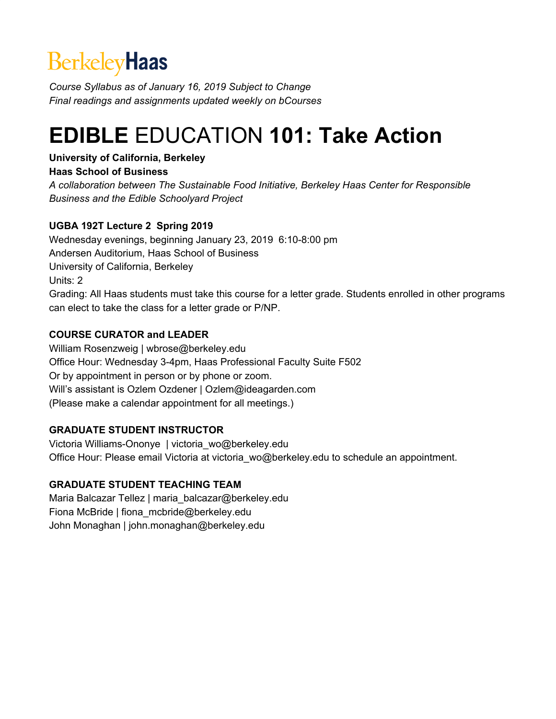# **BerkeleyHaas**

*Course Syllabus as of January 16, 2019 Subject to Change Final readings and assignments updated weekly on bCourses*

# **EDIBLE** EDUCATION **101: Take Action**

## **University of California, Berkeley**

## **Haas School of Business**

*A collaboration between The Sustainable Food Initiative, Berkeley Haas Center for Responsible Business and the Edible Schoolyard Project*

## **UGBA 192T Lecture 2 Spring 2019**

Wednesday evenings, beginning January 23, 2019 6:10-8:00 pm Andersen Auditorium, Haas School of Business University of California, Berkeley Units: 2 Grading: All Haas students must take this course for a letter grade. Students enrolled in other programs can elect to take the class for a letter grade or P/NP.

## **COURSE CURATOR and LEADER**

William Rosenzweig | wbrose@berkeley.edu Office Hour: Wednesday 3-4pm, Haas Professional Faculty Suite F502 Or by appointment in person or by phone or zoom. Will's assistant is Ozlem Ozdener | Ozlem@ideagarden.com (Please make a calendar appointment for all meetings.)

## **GRADUATE STUDENT INSTRUCTOR**

Victoria Williams-Ononye | victoria\_wo@berkeley.edu Office Hour: Please email Victoria at victoria\_wo@berkeley.edu to schedule an appointment.

## **GRADUATE STUDENT TEACHING TEAM**

Maria Balcazar Tellez | maria\_balcazar@berkeley.edu Fiona McBride | fiona\_mcbride@berkeley.edu John Monaghan | john.monaghan@berkeley.edu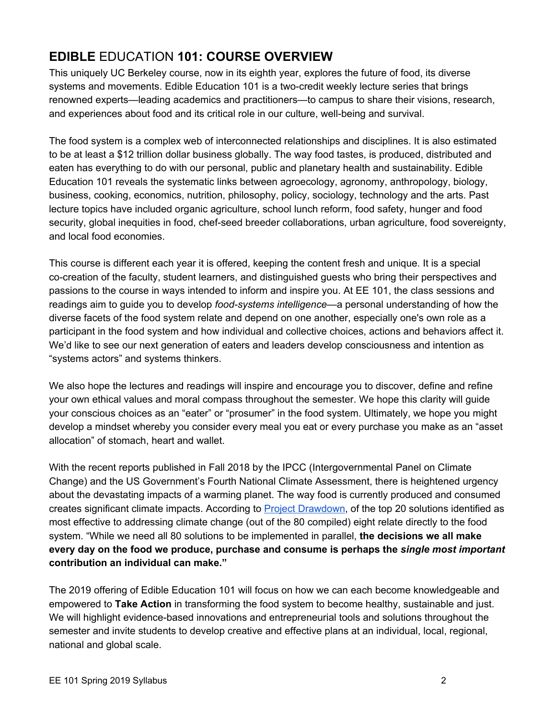## **EDIBLE** EDUCATION **101: COURSE OVERVIEW**

This uniquely UC Berkeley course, now in its eighth year, explores the future of food, its diverse systems and movements. Edible Education 101 is a two-credit weekly lecture series that brings renowned experts—leading academics and practitioners—to campus to share their visions, research, and experiences about food and its critical role in our culture, well-being and survival.

The food system is a complex web of interconnected relationships and disciplines. It is also estimated to be at least a \$12 trillion dollar business globally. The way food tastes, is produced, distributed and eaten has everything to do with our personal, public and planetary health and sustainability. Edible Education 101 reveals the systematic links between agroecology, agronomy, anthropology, biology, business, cooking, economics, nutrition, philosophy, policy, sociology, technology and the arts. Past lecture topics have included organic agriculture, school lunch reform, food safety, hunger and food security, global inequities in food, chef-seed breeder collaborations, urban agriculture, food sovereignty, and local food economies.

This course is different each year it is offered, keeping the content fresh and unique. It is a special co-creation of the faculty, student learners, and distinguished guests who bring their perspectives and passions to the course in ways intended to inform and inspire you. At EE 101, the class sessions and readings aim to guide you to develop *food-systems intelligence*—a personal understanding of how the diverse facets of the food system relate and depend on one another, especially one's own role as a participant in the food system and how individual and collective choices, actions and behaviors affect it. We'd like to see our next generation of eaters and leaders develop consciousness and intention as "systems actors" and systems thinkers.

We also hope the lectures and readings will inspire and encourage you to discover, define and refine your own ethical values and moral compass throughout the semester. We hope this clarity will guide your conscious choices as an "eater" or "prosumer" in the food system. Ultimately, we hope you might develop a mindset whereby you consider every meal you eat or every purchase you make as an "asset allocation" of stomach, heart and wallet.

With the recent reports published in Fall 2018 by the IPCC (Intergovernmental Panel on Climate Change) and the US Government's Fourth National Climate Assessment, there is heightened urgency about the devastating impacts of a warming planet. The way food is currently produced and consumed creates significant climate impacts. According to **Project [Drawdown](https://www.drawdown.org/solutions/food)**, of the top 20 solutions identified as most effective to addressing climate change (out of the 80 compiled) eight relate directly to the food system. "While we need all 80 solutions to be implemented in parallel, **the decisions we all make every day on the food we produce, purchase and consume is perhaps the** *single most important* **contribution an individual can make."**

The 2019 offering of Edible Education 101 will focus on how we can each become knowledgeable and empowered to **Take Action** in transforming the food system to become healthy, sustainable and just. We will highlight evidence-based innovations and entrepreneurial tools and solutions throughout the semester and invite students to develop creative and effective plans at an individual, local, regional, national and global scale.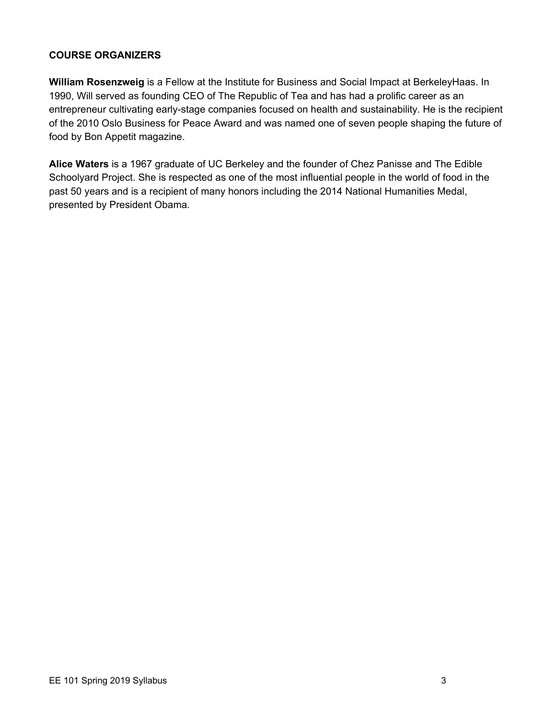## **COURSE ORGANIZERS**

**William Rosenzweig** is a Fellow at the Institute for Business and Social Impact at BerkeleyHaas. In 1990, Will served as founding CEO of The Republic of Tea and has had a prolific career as an entrepreneur cultivating early-stage companies focused on health and sustainability. He is the recipient of the 2010 Oslo Business for Peace Award and was named one of seven people shaping the future of food by Bon Appetit magazine.

**Alice Waters** is a 1967 graduate of UC Berkeley and the founder of Chez Panisse and The Edible Schoolyard Project. She is respected as one of the most influential people in the world of food in the past 50 years and is a recipient of many honors including the 2014 National Humanities Medal, presented by President Obama.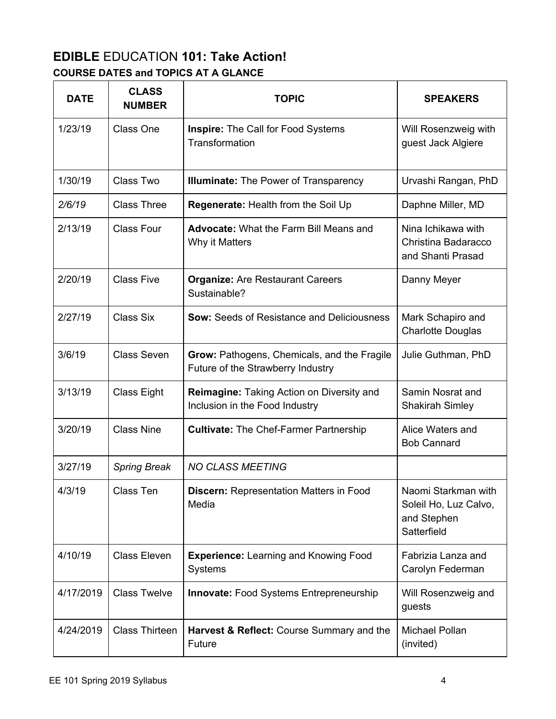## **EDIBLE** EDUCATION **101: Take Action! COURSE DATES and TOPICS AT A GLANCE**

| <b>DATE</b> | <b>CLASS</b><br><b>NUMBER</b> | <b>TOPIC</b>                                                                     | <b>SPEAKERS</b>                                                            |
|-------------|-------------------------------|----------------------------------------------------------------------------------|----------------------------------------------------------------------------|
| 1/23/19     | Class One                     | <b>Inspire:</b> The Call for Food Systems<br>Transformation                      | Will Rosenzweig with<br>guest Jack Algiere                                 |
| 1/30/19     | Class Two                     | <b>Illuminate:</b> The Power of Transparency                                     | Urvashi Rangan, PhD                                                        |
| 2/6/19      | <b>Class Three</b>            | Regenerate: Health from the Soil Up                                              | Daphne Miller, MD                                                          |
| 2/13/19     | <b>Class Four</b>             | <b>Advocate: What the Farm Bill Means and</b><br>Why it Matters                  | Nina Ichikawa with<br>Christina Badaracco<br>and Shanti Prasad             |
| 2/20/19     | <b>Class Five</b>             | <b>Organize: Are Restaurant Careers</b><br>Sustainable?                          | Danny Meyer                                                                |
| 2/27/19     | <b>Class Six</b>              | <b>Sow: Seeds of Resistance and Deliciousness</b>                                | Mark Schapiro and<br><b>Charlotte Douglas</b>                              |
| 3/6/19      | <b>Class Seven</b>            | Grow: Pathogens, Chemicals, and the Fragile<br>Future of the Strawberry Industry | Julie Guthman, PhD                                                         |
| 3/13/19     | Class Eight                   | Reimagine: Taking Action on Diversity and<br>Inclusion in the Food Industry      | Samin Nosrat and<br><b>Shakirah Simley</b>                                 |
| 3/20/19     | <b>Class Nine</b>             | <b>Cultivate: The Chef-Farmer Partnership</b>                                    | Alice Waters and<br><b>Bob Cannard</b>                                     |
| 3/27/19     | <b>Spring Break</b>           | <b>NO CLASS MEETING</b>                                                          |                                                                            |
| 4/3/19      | Class Ten                     | Discern: Representation Matters in Food<br>Media                                 | Naomi Starkman with<br>Soleil Ho, Luz Calvo,<br>and Stephen<br>Satterfield |
| 4/10/19     | <b>Class Eleven</b>           | <b>Experience: Learning and Knowing Food</b><br>Systems                          | Fabrizia Lanza and<br>Carolyn Federman                                     |
| 4/17/2019   | <b>Class Twelve</b>           | <b>Innovate:</b> Food Systems Entrepreneurship                                   | Will Rosenzweig and<br>guests                                              |
| 4/24/2019   | <b>Class Thirteen</b>         | Harvest & Reflect: Course Summary and the<br>Future                              | Michael Pollan<br>(invited)                                                |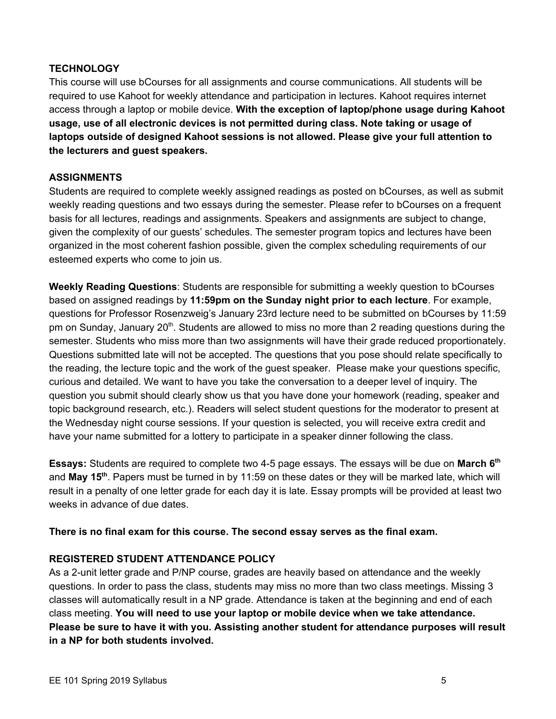## **TECHNOLOGY**

This course will use bCourses for all assignments and course communications. All students will be required to use Kahoot for weekly attendance and participation in lectures. Kahoot requires internet access through a laptop or mobile device. **With the exception of laptop/phone usage during Kahoot usage, use of all electronic devices is not permitted during class. Note taking or usage of laptops outside of designed Kahoot sessions is not allowed. Please give your full attention to the lecturers and guest speakers.**

#### **ASSIGNMENTS**

Students are required to complete weekly assigned readings as posted on bCourses, as well as submit weekly reading questions and two essays during the semester. Please refer to bCourses on a frequent basis for all lectures, readings and assignments. Speakers and assignments are subject to change, given the complexity of our guests' schedules. The semester program topics and lectures have been organized in the most coherent fashion possible, given the complex scheduling requirements of our esteemed experts who come to join us.

**Weekly Reading Questions**: Students are responsible for submitting a weekly question to bCourses based on assigned readings by **11:59pm on the Sunday night prior to each lecture**. For example, questions for Professor Rosenzweig's January 23rd lecture need to be submitted on bCourses by 11:59 pm on Sunday, January 20<sup>th</sup>. Students are allowed to miss no more than 2 reading questions during the semester. Students who miss more than two assignments will have their grade reduced proportionately. Questions submitted late will not be accepted. The questions that you pose should relate specifically to the reading, the lecture topic and the work of the guest speaker. Please make your questions specific, curious and detailed. We want to have you take the conversation to a deeper level of inquiry. The question you submit should clearly show us that you have done your homework (reading, speaker and topic background research, etc.). Readers will select student questions for the moderator to present at the Wednesday night course sessions. If your question is selected, you will receive extra credit and have your name submitted for a lottery to participate in a speaker dinner following the class.

**Essays:** Students are required to complete two 4-5 page essays. The essays will be due on **March 6 th** and **May 15 th** . Papers must be turned in by 11:59 on these dates or they will be marked late, which will result in a penalty of one letter grade for each day it is late. Essay prompts will be provided at least two weeks in advance of due dates.

#### **There is no final exam for this course. The second essay serves as the final exam.**

#### **REGISTERED STUDENT ATTENDANCE POLICY**

As a 2-unit letter grade and P/NP course, grades are heavily based on attendance and the weekly questions. In order to pass the class, students may miss no more than two class meetings. Missing 3 classes will automatically result in a NP grade. Attendance is taken at the beginning and end of each class meeting. **You will need to use your laptop or mobile device when we take attendance. Please be sure to have it with you. Assisting another student for attendance purposes will result in a NP for both students involved.**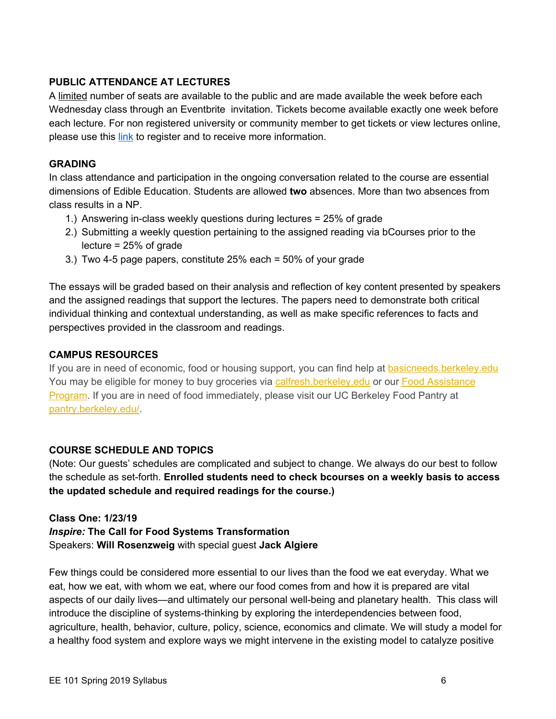## **PUBLIC ATTENDANCE AT LECTURES**

A limited number of seats are available to the public and are made available the week before each Wednesday class through an Eventbrite invitation. Tickets become available exactly one week before each lecture. For non registered university or community member to get tickets or view lectures online, please use this [link](https://docs.google.com/document/d/1xNyurePRNU0fKzT6KJOn02GgpC6xu_gZzWdEitnroLw/edit?usp=sharing) to register and to receive more information.

## **GRADING**

In class attendance and participation in the ongoing conversation related to the course are essential dimensions of Edible Education. Students are allowed **two** absences. More than two absences from class results in a NP.

- 1.) Answering in-class weekly questions during lectures = 25% of grade
- 2.) Submitting a weekly question pertaining to the assigned reading via bCourses prior to the lecture = 25% of grade
- 3.) Two 4-5 page papers, constitute 25% each = 50% of your grade

The essays will be graded based on their analysis and reflection of key content presented by speakers and the assigned readings that support the lectures. The papers need to demonstrate both critical individual thinking and contextual understanding, as well as make specific references to facts and perspectives provided in the classroom and readings.

## **CAMPUS RESOURCES**

If you are in need of economic, food or housing support, you can find help at [basicneeds.berkeley.edu](http://basicneeds.berkeley.edu/) You may be eligible for money to buy groceries via [calfresh.berkeley.edu](http://calfresh.berkeley.edu/) or our Food [Assistance](https://financialaid.berkeley.edu/food-assistance-program) [Program](https://financialaid.berkeley.edu/food-assistance-program). If you are in need of food immediately, please visit our UC Berkeley Food Pantry at [pantry.berkeley.edu/.](https://pantry.berkeley.edu/)

#### **COURSE SCHEDULE AND TOPICS**

(Note: Our guests' schedules are complicated and subject to change. We always do our best to follow the schedule as set-forth. **Enrolled students need to check bcourses on a weekly basis to access the updated schedule and required readings for the course.)**

#### **Class One: 1/23/19**

*Inspire:* **The Call for Food Systems Transformation** Speakers: **Will Rosenzweig** with special guest **Jack Algiere**

Few things could be considered more essential to our lives than the food we eat everyday. What we eat, how we eat, with whom we eat, where our food comes from and how it is prepared are vital aspects of our daily lives—and ultimately our personal well-being and planetary health. This class will introduce the discipline of systems-thinking by exploring the interdependencies between food, agriculture, health, behavior, culture, policy, science, economics and climate. We will study a model for a healthy food system and explore ways we might intervene in the existing model to catalyze positive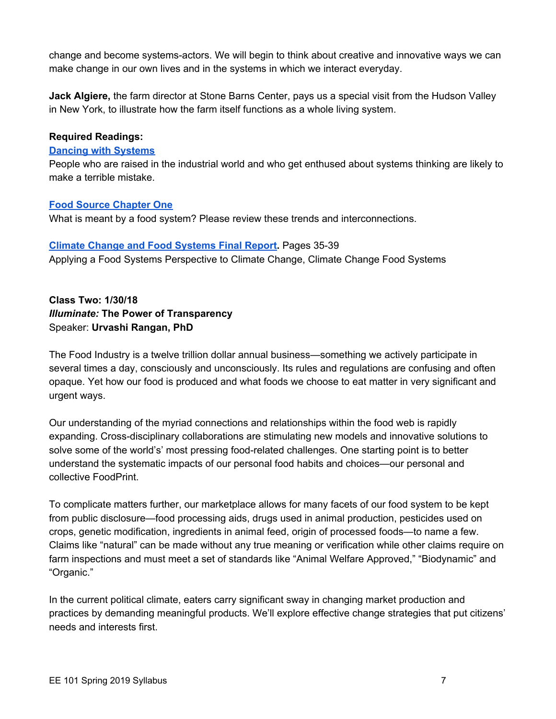change and become systems-actors. We will begin to think about creative and innovative ways we can make change in our own lives and in the systems in which we interact everyday.

**Jack Algiere,** the farm director at Stone Barns Center, pays us a special visit from the Hudson Valley in New York, to illustrate how the farm itself functions as a whole living system.

## **Required Readings:**

#### **Dancing with [Systems](http://donellameadows.org/archives/dancing-with-systems/)**

People who are raised in the industrial world and who get enthused about systems thinking are likely to make a terrible mistake.

## **Food Source [Chapter](https://foodsource.org.uk/sites/default/files/chapters/pdfs/foodsource_chapter_1.pdf) One**

What is meant by a food system? Please review these trends and interconnections.

## **Climate Change and Food [Systems](http://www.merid.org/~/media/CCFS/CC-FS%20Final%20Report%20November%202017) Final Report.** Pages 35-39

Applying a Food Systems Perspective to Climate Change, Climate Change Food Systems

## **Class Two: 1/30/18** *Illuminate:* **The Power of Transparency** Speaker: **Urvashi Rangan, PhD**

The Food Industry is a twelve trillion dollar annual business—something we actively participate in several times a day, consciously and unconsciously. Its rules and regulations are confusing and often opaque. Yet how our food is produced and what foods we choose to eat matter in very significant and urgent ways.

Our understanding of the myriad connections and relationships within the food web is rapidly expanding. Cross-disciplinary collaborations are stimulating new models and innovative solutions to solve some of the world's' most pressing food-related challenges. One starting point is to better understand the systematic impacts of our personal food habits and choices—our personal and collective FoodPrint.

To complicate matters further, our marketplace allows for many facets of our food system to be kept from public disclosure—food processing aids, drugs used in animal production, pesticides used on crops, genetic modification, ingredients in animal feed, origin of processed foods—to name a few. Claims like "natural" can be made without any true meaning or verification while other claims require on farm inspections and must meet a set of standards like "Animal Welfare Approved," "Biodynamic" and "Organic."

In the current political climate, eaters carry significant sway in changing market production and practices by demanding meaningful products. We'll explore effective change strategies that put citizens' needs and interests first.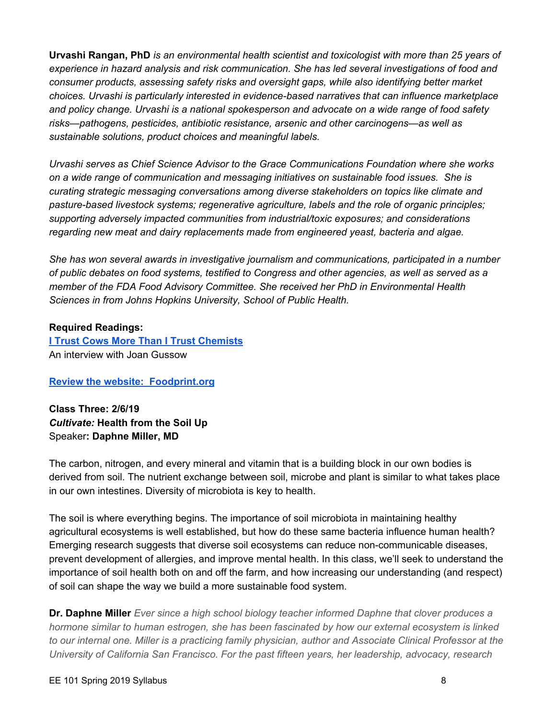**Urvashi Rangan, PhD** *is an environmental health scientist and toxicologist with more than 25 years of experience in hazard analysis and risk communication. She has led several investigations of food and consumer products, assessing safety risks and oversight gaps, while also identifying better market choices. Urvashi is particularly interested in evidence-based narratives that can influence marketplace and policy change. Urvashi is a national spokesperson and advocate on a wide range of food safety risks—pathogens, pesticides, antibiotic resistance, arsenic and other carcinogens—as well as sustainable solutions, product choices and meaningful labels.*

*Urvashi serves as Chief Science Advisor to the Grace Communications Foundation where she works on a wide range of communication and messaging initiatives on sustainable food issues. She is curating strategic messaging conversations among diverse stakeholders on topics like climate and pasture-based livestock systems; regenerative agriculture, labels and the role of organic principles; supporting adversely impacted communities from industrial/toxic exposures; and considerations regarding new meat and dairy replacements made from engineered yeast, bacteria and algae.*

*She has won several awards in investigative journalism and communications, participated in a number* of public debates on food systems, testified to Congress and other agencies, as well as served as a *member of the FDA Food Advisory Committee. She received her PhD in Environmental Health Sciences in from Johns Hopkins University, School of Public Health.*

## **Required Readings:**

**I Trust Cows More Than I Trust [Chemists](https://slowmoney.org/blog/interview-joan-gussow)** An interview with Joan Gussow

#### **Review the website: [Foodprint.org](http://foodprint.org/)**

**Class Three: 2/6/19** *Cultivate:* **Health from the Soil Up** Speaker**: Daphne Miller, MD**

The carbon, nitrogen, and every mineral and vitamin that is a building block in our own bodies is derived from soil. The nutrient exchange between soil, microbe and plant is similar to what takes place in our own intestines. Diversity of microbiota is key to health.

The soil is where everything begins. The importance of soil microbiota in maintaining healthy agricultural ecosystems is well established, but how do these same bacteria influence human health? Emerging research suggests that diverse soil ecosystems can reduce non-communicable diseases, prevent development of allergies, and improve mental health. In this class, we'll seek to understand the importance of soil health both on and off the farm, and how increasing our understanding (and respect) of soil can shape the way we build a more sustainable food system.

**Dr. Daphne Miller** *Ever since a high school biology teacher informed Daphne that clover produces a hormone similar to human estrogen, she has been fascinated by how our external ecosystem is linked* to our internal one. Miller is a practicing family physician, author and Associate Clinical Professor at the *University of California San Francisco. For the past fifteen years, her leadership, advocacy, research*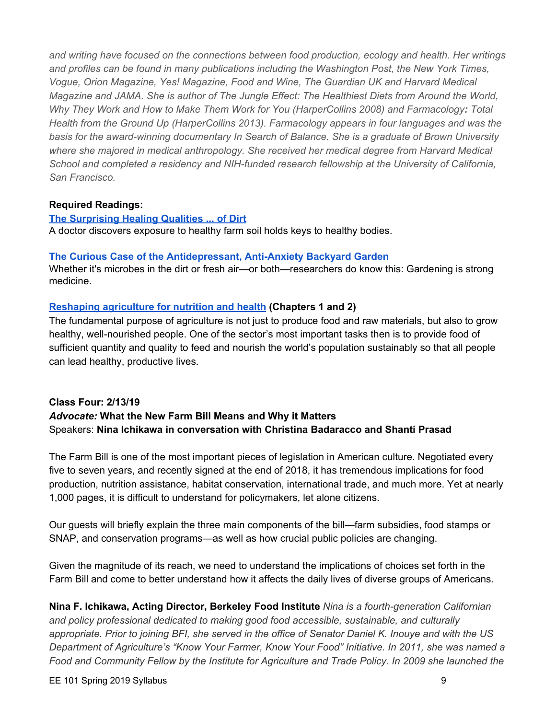*and writing have focused on the connections between food production, ecology and health. Her writings and profiles can be found in many publications including the Washington Post, the New York Times, Vogue, Orion Magazine, Yes! Magazine, Food and Wine, The Guardian UK and Harvard Medical Magazine and JAMA. She is author of The Jungle Effect: The Healthiest Diets from Around the World, Why They Work and How to Make Them Work for You (HarperCollins 2008) and Farmacology: Total Health from the Ground Up (HarperCollins 2013). Farmacology appears in four languages and was the basis for the award-winning documentary In Search of Balance. She is a graduate of Brown University where she majored in medical anthropology. She received her medical degree from Harvard Medical School and completed a residency and NIH-funded research fellowship at the University of California, San Francisco.*

#### **Required Readings:**

**The [Surprising](https://www.yesmagazine.org/issues/how-to-eat-like-our-lives-depend-on-it/how-dirt-heals-us) Healing Qualities ... of Dirt** A doctor discovers exposure to healthy farm soil holds keys to healthy bodies.

#### **The Curious Case of the [Antidepressant,](https://www.yesmagazine.org/issues/good-health/the-curious-case-of-the-antidepressant-anti-anxiety-backyard-garden-20151112) Anti-Anxiety Backyard Garden**

Whether it's microbes in the dirt or fresh air—or both—researchers do know this: Gardening is strong medicine.

## **Reshaping [agriculture](http://www.ifpri.org/publication/reshaping-agriculture-nutrition-and-health) for nutrition and health (Chapters 1 and 2)**

The fundamental purpose of agriculture is not just to produce food and raw materials, but also to grow healthy, well-nourished people. One of the sector's most important tasks then is to provide food of sufficient quantity and quality to feed and nourish the world's population sustainably so that all people can lead healthy, productive lives.

## **Class Four: 2/13/19** *Advocate:* **What the New Farm Bill Means and Why it Matters** Speakers: **Nina Ichikawa in conversation with Christina Badaracco and Shanti Prasad**

The Farm Bill is one of the most important pieces of legislation in American culture. Negotiated every five to seven years, and recently signed at the end of 2018, it has tremendous implications for food production, nutrition assistance, habitat conservation, international trade, and much more. Yet at nearly 1,000 pages, it is difficult to understand for policymakers, let alone citizens.

Our guests will briefly explain the three main components of the bill—farm subsidies, food stamps or SNAP, and conservation programs—as well as how crucial public policies are changing.

Given the magnitude of its reach, we need to understand the implications of choices set forth in the Farm Bill and come to better understand how it affects the daily lives of diverse groups of Americans.

**Nina F. Ichikawa, Acting Director, Berkeley Food Institute** *Nina is a fourth-generation Californian and policy professional dedicated to making good food accessible, sustainable, and culturally* appropriate. Prior to joining BFI, she served in the office of Senator Daniel K. Inouye and with the US *Department of Agriculture's "Know Your Farmer, Know Your Food" Initiative. In 2011, she was named a Food and Community Fellow by the Institute for Agriculture and Trade Policy. In 2009 she launched the*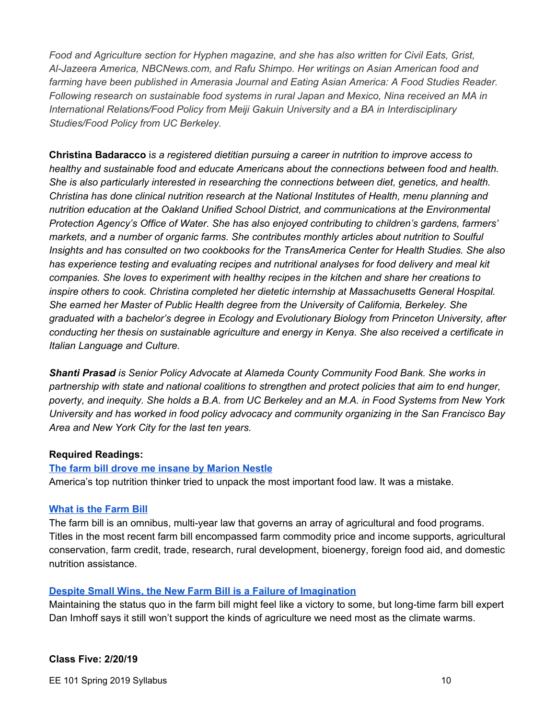*Food and Agriculture section for Hyphen magazine, and she has also written for Civil Eats, Grist, Al-Jazeera America, NBCNews.com, and Rafu Shimpo. Her writings on Asian American food and farming have been published in Amerasia Journal and Eating Asian America: A Food Studies Reader. Following research on sustainable food systems in rural Japan and Mexico, Nina received an MA in International Relations/Food Policy from Meiji Gakuin University and a BA in Interdisciplinary Studies/Food Policy from UC Berkeley.*

**Christina Badaracco** i*s a registered dietitian pursuing a career in nutrition to improve access to healthy and sustainable food and educate Americans about the connections between food and health. She is also particularly interested in researching the connections between diet, genetics, and health. Christina has done clinical nutrition research at the National Institutes of Health, menu planning and nutrition education at the Oakland Unified School District, and communications at the Environmental Protection Agency's Office of Water. She has also enjoyed contributing to children's gardens, farmers' markets, and a number of organic farms. She contributes monthly articles about nutrition to Soulful Insights and has consulted on two cookbooks for the TransAmerica Center for Health Studies. She also has experience testing and evaluating recipes and nutritional analyses for food delivery and meal kit companies. She loves to experiment with healthy recipes in the kitchen and share her creations to inspire others to cook. Christina completed her dietetic internship at Massachusetts General Hospital. She earned her Master of Public Health degree from the University of California, Berkeley. She graduated with a bachelor's degree in Ecology and Evolutionary Biology from Princeton University, after conducting her thesis on sustainable agriculture and energy in Kenya. She also received a certificate in Italian Language and Culture.*

*Shanti Prasad is Senior Policy Advocate at Alameda County Community Food Bank. She works in partnership with state and national coalitions to strengthen and protect policies that aim to end hunger,* poverty, and inequity. She holds a B.A. from UC Berkeley and an M.A. in Food Systems from New York *University and has worked in food policy advocacy and community organizing in the San Francisco Bay Area and New York City for the last ten years.*

#### **Required Readings:**

#### **The farm bill drove me insane by [Marion](https://www.politico.com/agenda/story/2016/03/farm-bill-congress-usda-food-policy-000070) Nestle**

America's top nutrition thinker tried to unpack the most important food law. It was a mistake.

#### **What is the [Farm](https://fas.org/sgp/crs/misc/RS22131.pdf) Bill**

The farm bill is an omnibus, multi-year law that governs an array of agricultural and food programs. Titles in the most recent farm bill encompassed farm commodity price and income supports, agricultural conservation, farm credit, trade, research, rural development, bioenergy, foreign food aid, and domestic nutrition assistance.

#### **Despite Small Wins, the New Farm Bill is a Failure of [Imagination](https://civileats.com/2018/12/13/despite-small-wins-the-new-farm-bill-is-a-failure-of-imagination/)**

Maintaining the status quo in the farm bill might feel like a victory to some, but long-time farm bill expert Dan Imhoff says it still won't support the kinds of agriculture we need most as the climate warms.

#### **Class Five: 2/20/19**

EE 101 Spring 2019 Syllabus 10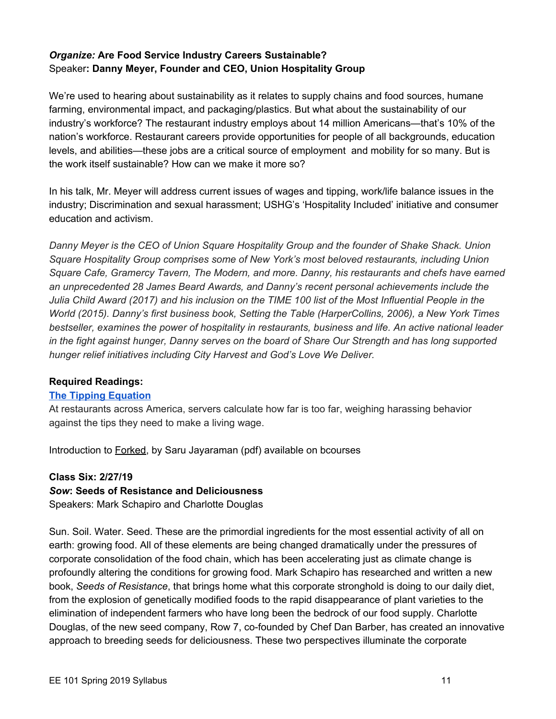## *Organize:* **Are Food Service Industry Careers Sustainable?** Speaker**: Danny Meyer, Founder and CEO, Union Hospitality Group**

We're used to hearing about sustainability as it relates to supply chains and food sources, humane farming, environmental impact, and packaging/plastics. But what about the sustainability of our industry's workforce? The restaurant industry employs about 14 million Americans—that's 10% of the nation's workforce. Restaurant careers provide opportunities for people of all backgrounds, education levels, and abilities—these jobs are a critical source of employment and mobility for so many. But is the work itself sustainable? How can we make it more so?

In his talk, Mr. Meyer will address current issues of wages and tipping, work/life balance issues in the industry; Discrimination and sexual harassment; USHG's 'Hospitality Included' initiative and consumer education and activism.

*Danny Meyer is the CEO of Union Square Hospitality Group and the founder of Shake Shack. Union Square Hospitality Group comprises some of New York's most beloved restaurants, including Union Square Cafe, Gramercy Tavern, The Modern, and more. Danny, his restaurants and chefs have earned an unprecedented 28 James Beard Awards, and Danny's recent personal achievements include the* Julia Child Award (2017) and his inclusion on the TIME 100 list of the Most Influential People in the *World (2015). Danny's first business book, Setting the Table (HarperCollins, 2006), a New York Times bestseller, examines the power of hospitality in restaurants, business and life. An active national leader* in the fight against hunger, Danny serves on the board of Share Our Strength and has long supported *hunger relief initiatives including City Harvest and God's Love We Deliver.*

#### **Required Readings:**

#### **The Tipping [Equation](https://www.nytimes.com/interactive/2018/03/11/business/tipping-sexual-harassment.html)**

At restaurants across America, servers calculate how far is too far, weighing harassing behavior against the tips they need to make a living wage.

Introduction to Forked, by Saru Jayaraman (pdf) available on bcourses

#### **Class Six: 2/27/19**

#### *Sow***: Seeds of Resistance and Deliciousness**

Speakers: Mark Schapiro and Charlotte Douglas

Sun. Soil. Water. Seed. These are the primordial ingredients for the most essential activity of all on earth: growing food. All of these elements are being changed dramatically under the pressures of corporate consolidation of the food chain, which has been accelerating just as climate change is profoundly altering the conditions for growing food. Mark Schapiro has researched and written a new book, *Seeds of Resistance*, that brings home what this corporate stronghold is doing to our daily diet, from the explosion of genetically modified foods to the rapid disappearance of plant varieties to the elimination of independent farmers who have long been the bedrock of our food supply. Charlotte Douglas, of the new seed company, [Row](https://www.row7seeds.com/) 7, co-founded by Chef Dan Barber, has created an innovative approach to breeding seeds for deliciousness. These two perspectives illuminate the corporate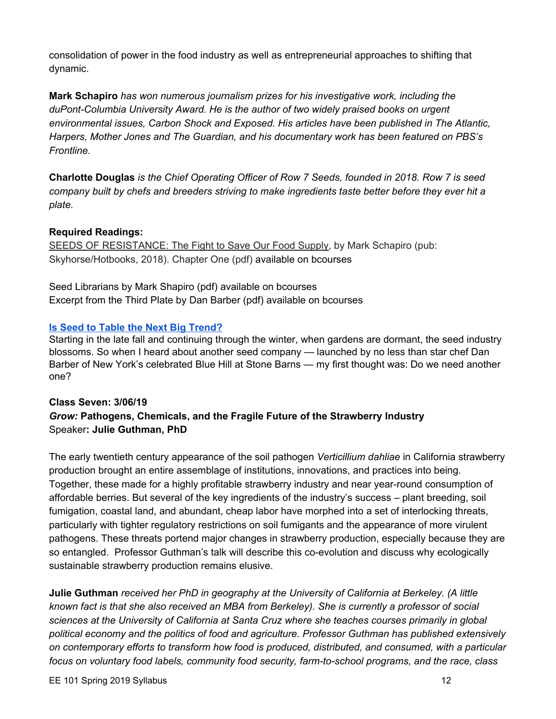consolidation of power in the food industry as well as entrepreneurial approaches to shifting that dynamic.

**Mark Schapiro** *has won numerous journalism prizes for his investigative work, including the duPont-Columbia University Award. He is the author of two widely praised books on urgent environmental issues, Carbon Shock and Exposed. His articles have been published in The Atlantic, Harpers, Mother Jones and The Guardian, and his documentary work has been featured on PBS's Frontline.*

**Charlotte Douglas** *is the Chief Operating Officer of Row 7 Seeds, founded in 2018. Row 7 is seed company built by chefs and breeders striving to make ingredients taste better before they ever hit a plate.*

## **Required Readings:**

SEEDS OF RESISTANCE: The Fight to Save Our Food Supply, by Mark Schapiro (pub: Skyhorse/Hotbooks, 2018). Chapter One (pdf) available on bcourses

Seed Librarians by Mark Shapiro (pdf) available on bcourses Excerpt from the Third Plate by Dan Barber (pdf) available on bcourses

## **Is Seed to Table the Next Big [Trend?](https://www.washingtonpost.com/lifestyle/food/is-seed-to-table-the-next-big-food-trend-one-top-chef-hopes-so/2018/02/26/7ebe708a-1b40-11e8-b2d9-08e748f892c0_story.html?utm_term=.b464ada338c3)**

Starting in the late fall and continuing through the winter, when gardens are dormant, the seed industry blossoms. So when I heard about another seed company — launched by no less than star chef Dan Barber of New York's celebrated Blue Hill at Stone Barns — my first thought was: Do we need another one?

## **Class Seven: 3/06/19** *Grow:* **Pathogens, Chemicals, and the Fragile Future of the Strawberry Industry** Speaker**: Julie Guthman, PhD**

The early twentieth century appearance of the soil pathogen *Verticillium dahliae* in California strawberry production brought an entire assemblage of institutions, innovations, and practices into being. Together, these made for a highly profitable strawberry industry and near year-round consumption of affordable berries. But several of the key ingredients of the industry's success – plant breeding, soil fumigation, coastal land, and abundant, cheap labor have morphed into a set of interlocking threats, particularly with tighter regulatory restrictions on soil fumigants and the appearance of more virulent pathogens. These threats portend major changes in strawberry production, especially because they are so entangled. Professor Guthman's talk will describe this co-evolution and discuss why ecologically sustainable strawberry production remains elusive.

**Julie Guthman** *received her PhD in geography at the University of California at Berkeley. (A little known fact is that she also received an MBA from Berkeley). She is currently a professor of social sciences at the University of California at Santa Cruz where she teaches courses primarily in global political economy and the politics of food and agriculture. Professor Guthman has published extensively on contemporary efforts to transform how food is produced, distributed, and consumed, with a particular focus on voluntary food labels, community food security, farm-to-school programs, and the race, class*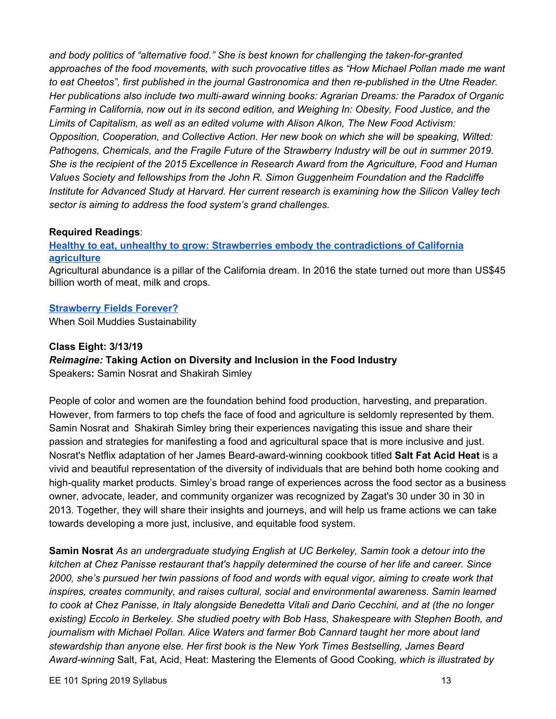*and body politics of "alternative food." She is best known for challenging the taken-for-granted approaches of the food movements, with such provocative titles as "How Michael Pollan made me want to eat Cheetos", first published in the journal Gastronomica and then re-published in the Utne Reader. Her publications also include two multi-award winning books: Agrarian Dreams: the Paradox of Organic Farming in California, now out in its second edition, and Weighing In: Obesity, Food Justice, and the Limits of Capitalism, as well as an edited volume with Alison Alkon, The New Food Activism: Opposition, Cooperation, and Collective Action. Her new book on which she will be speaking, Wilted: Pathogens, Chemicals, and the Fragile Future of the Strawberry Industry will be out in summer 2019. She is the recipient of the 2015 Excellence in Research Award from the Agriculture, Food and Human Values Society and fellowships from the John R. Simon Guggenheim Foundation and the Radcliffe Institute for Advanced Study at Harvard. Her current research is examining how the Silicon Valley tech sector is aiming to address the food system's grand challenges.*

## **Required Readings**:

## **Healthy to eat, unhealthy to grow: Strawberries embody the [contradictions](https://theconversation.com/healthy-to-eat-unhealthy-to-grow-strawberries-embody-the-contradictions-of-california-agriculture-86907) of California [agriculture](https://theconversation.com/healthy-to-eat-unhealthy-to-grow-strawberries-embody-the-contradictions-of-california-agriculture-86907)**

Agricultural abundance is a pillar of the California dream. In 2016 the state turned out more than [US\\$45](https://www.cdfa.ca.gov/statistics/) [billion](https://www.cdfa.ca.gov/statistics/) worth of meat, milk and crops.

## **[Strawberry](https://thebreakthrough.org/index.php/journal/no.-9-summer-2018/strawberry-fields-forever) Fields Forever?**

When Soil Muddies Sustainability

## **Class Eight: 3/13/19**

## *Reimagine:* **Taking Action on Diversity and Inclusion in the Food Industry**

Speakers**:** Samin Nosrat and Shakirah Simley

People of color and women are the foundation behind food production, harvesting, and preparation. However, from farmers to top chefs the face of food and agriculture is seldomly represented by them. Samin Nosrat and Shakirah Simley bring their experiences navigating this issue and share their passion and strategies for manifesting a food and agricultural space that is more inclusive and just. Nosrat's Netflix adaptation of her James Beard-award-winning cookbook titled **Salt Fat Acid Heat** is a vivid and beautiful representation of the diversity of individuals that are behind both home cooking and high-quality market products. Simley's broad range of experiences across the food sector as a business owner, advocate, leader, and community organizer was recognized by Zagat's 30 under 30 in 30 in 2013. Together, they will share their insights and journeys, and will help us frame actions we can take towards developing a more just, inclusive, and equitable food system.

**Samin Nosrat** *As an undergraduate studying English at UC Berkeley, Samin took a detour into the kitchen at Chez Panisse restaurant that's happily determined the course of her life and career. Since* 2000, she's pursued her twin passions of food and words with equal vigor, aiming to create work that *inspires, creates community, and raises cultural, social and environmental awareness. Samin learned* to cook at Chez Panisse, in Italy alongside Benedetta Vitali and Dario Cecchini, and at (the no longer *existing) Eccolo in Berkeley. She studied poetry with Bob Hass, Shakespeare with Stephen Booth, and journalism with Michael Pollan. Alice Waters and farmer Bob Cannard taught her more about land stewardship than anyone else. Her first book is the New York Times Bestselling, James Beard Award-winnin[g](http://amzn.to/29KjmHa)* Salt, Fat, Acid, Heat: [Mastering](http://amzn.to/29KjmHa) the Elements of Good Cooking*, which is illustrated by*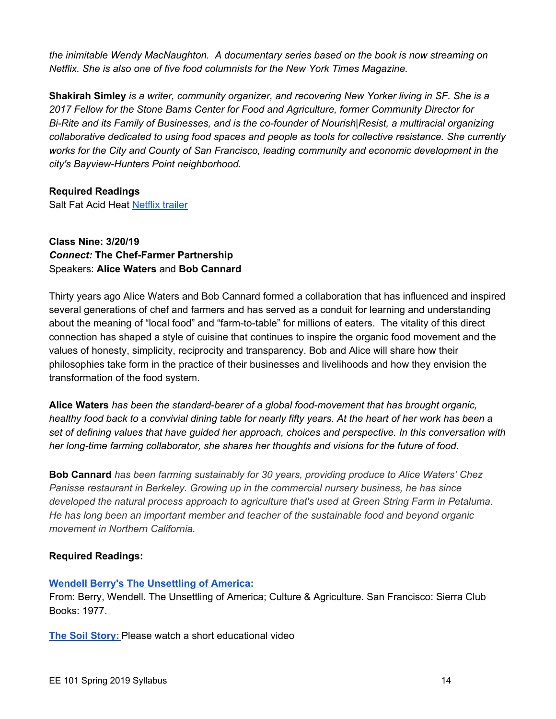*the inimitable Wendy [MacNaughton](http://www.wendymacnaughton.com/). A documentary series based on the book is now streaming o[n](http://www.netflix.com/saltfatacidheat) [Netflix.](http://www.netflix.com/saltfatacidheat) She is also one of five food columnists for the New York Times [Magazine](https://query.nytimes.com/search/sitesearch/?action=click&contentCollection®ion=TopBar&WT.nav=searchWidget&module=SearchSubmit&pgtype=sectionfront#/samin+nosrat/).*

**Shakirah Simley** *is a writer, community organizer, and recovering New Yorker living in SF. She is a 2017 Fellow for the Stone Barns Center for Food and Agriculture, former Community Director for Bi-Rite and its Family of Businesses, and is the co-founder of Nourish|Resist, a multiracial organizing collaborative dedicated to using food spaces and people as tools for collective resistance. She currently works for the City and County of San Francisco, leading community and economic development in the city's Bayview-Hunters Point neighborhood.*

## **Required Readings**

Salt Fat Acid Heat [Netflix](https://www.netflix.com/title/80198288) trailer

## **Class Nine: 3/20/19** *Connect:* **The Chef-Farmer Partnership** Speakers: **Alice Waters** and **Bob Cannard**

Thirty years ago Alice Waters and Bob Cannard formed a collaboration that has influenced and inspired several generations of chef and farmers and has served as a conduit for learning and understanding about the meaning of "local food" and "farm-to-table" for millions of eaters. The vitality of this direct connection has shaped a style of cuisine that continues to inspire the organic food movement and the values of honesty, simplicity, reciprocity and transparency. Bob and Alice will share how their philosophies take form in the practice of their businesses and livelihoods and how they envision the transformation of the food system.

**Alice Waters** *has been the standard-bearer of a global food-movement that has brought organic,* healthy food back to a convivial dining table for nearly fifty years. At the heart of her work has been a *set of defining values that have guided her approach, choices and perspective. In this conversation with her long-time farming collaborator, she shares her thoughts and visions for the future of food.*

**Bob Cannard** *has been farming sustainably for 30 years, providing produce to Alice Waters' Chez Panisse restaurant in Berkeley. Growing up in the commercial nursery business, he has since developed the natural process approach to agriculture that's used at Green String Farm in Petaluma. He has long been an important member and teacher of the sustainable food and beyond organic movement in Northern California.*

## **Required Readings:**

#### **Wendell Berry's The [Unsettling](https://www.asu.edu/courses/aph294/total-readings/berry--%20unsettlingofamerica.pdf) of America:**

From: Berry, Wendell. The Unsettling of America; Culture & Agriculture. San Francisco: Sierra Club Books: 1977.

**The Soil [Story:](https://thecarbonunderground.org/the-carbon-underground-president-larry-kopald-narrates-the-soil-story/)** Please watch a short educational video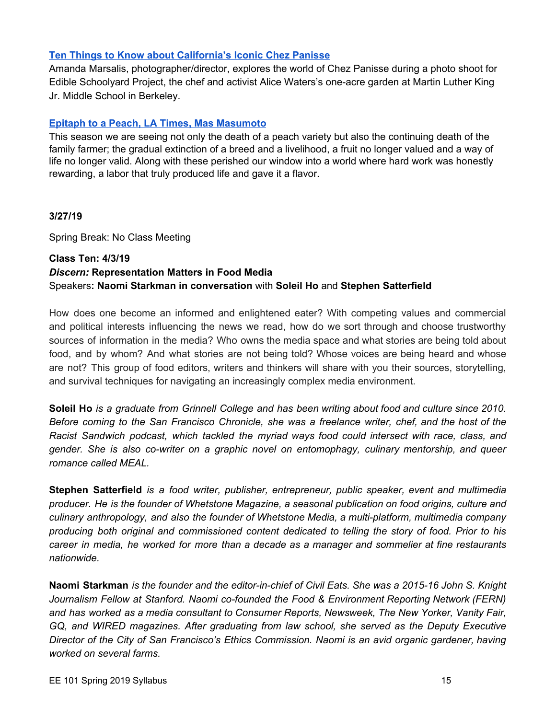## **Ten Things to Know about [California's](https://www.nytimes.com/slideshow/2016/11/14/t-magazine/food/chez-panisse-alice-waters-amanda-marsalis-photos/s/14tmag-chez-panisse-slide-IFX7.html) Iconic Chez Panisse**

Amanda Marsalis, photographer/director, explores the world of Chez Panisse during a photo shoot for Edible Schoolyard Project, the chef and activist Alice Waters's one-acre garden at Martin Luther King Jr. Middle School in Berkeley.

## **Epitaph to a Peach, LA Times, Mas [Masumoto](http://articles.latimes.com/1987-08-16/opinion/op-1656_1_sun-crest-peach)**

This season we are seeing not only the death of a peach variety but also the continuing death of the family farmer; the gradual extinction of a breed and a livelihood, a fruit no longer valued and a way of life no longer valid. Along with these perished our window into a world where hard work was honestly rewarding, a labor that truly produced life and gave it a flavor.

#### **3/27/19**

Spring Break: No Class Meeting

## **Class Ten: 4/3/19** *Discern:* **Representation Matters in Food Media** Speakers**: Naomi Starkman in conversation** with **Soleil Ho** and **Stephen Satterfield**

How does one become an informed and enlightened eater? With competing values and commercial and political interests influencing the news we read, how do we sort through and choose trustworthy sources of information in the media? Who owns the media space and what stories are being told about food, and by whom? And what stories are not being told? Whose voices are being heard and whose are not? This group of food editors, writers and thinkers will share with you their sources, storytelling, and survival techniques for navigating an increasingly complex media environment.

Soleil Ho is a graduate from Grinnell College and has been writing about food and culture since 2010. Before coming to the San Francisco Chronicle, she was a freelance writer, chef, and the host of the *Racist Sandwich podcast, which tackled the myriad ways food could intersect with race, class, and gender. She is also co-writer on a graphic novel on entomophagy, culinary mentorship, and queer romance called MEAL.*

**Stephen Satterfield** *is a food writer, publisher, entrepreneur, public speaker, event and multimedia producer. He is the founder of Whetstone Magazine, a seasonal publication on food origins, culture and culinary anthropology, and also the founder of Whetstone Media, a multi-platform, multimedia company producing both original and commissioned content dedicated to telling the story of food. Prior to his career in media, he worked for more than a decade as a manager and sommelier at fine restaurants nationwide.*

Naomi Starkman is the founder and the editor-in-chief of Civil Eats. She was a 2015-16 John S. Knight *Journalism Fellow at Stanford. Naomi co-founded the Food & Environment Reporting Network (FERN) and has worked as a media consultant to Consumer Reports, Newsweek, The New Yorker, Vanity Fair, GQ, and WIRED magazines. After graduating from law school, she served as the Deputy Executive Director of the City of San Francisco's Ethics Commission. Naomi is an avid organic gardener, having worked on several farms.*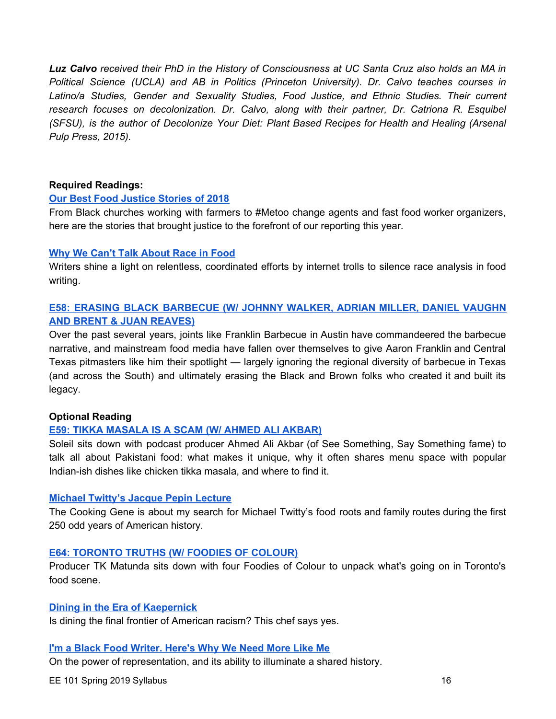Luz Calvo received their PhD in the History of Consciousness at UC Santa Cruz also holds an MA in *Political Science (UCLA) and AB in Politics (Princeton University). Dr. Calvo teaches courses in Latino/a Studies, Gender and Sexuality Studies, Food Justice, and Ethnic Studies. Their current research focuses on decolonization. Dr. Calvo, along with their partner, Dr. Catriona R. Esquibel (SFSU), is the author of Decolonize Your Diet: Plant Based Recipes for Health and Healing (Arsenal Pulp Press, 2015).*

#### **Required Readings:**

#### **Our Best Food [Justice](https://civileats.com/2018/12/27/our-best-food-justice-stories-of-2018/) Stories of 2018**

From Black churches working with farmers to #Metoo change agents and fast food worker organizers, here are the stories that brought justice to the forefront of our reporting this year.

#### **Why We Can't Talk [About](https://civileats.com/2017/06/27/why-we-cant-talk-about-race-in-food/) Race in Food**

Writers shine a light on relentless, coordinated efforts by internet trolls to silence race analysis in food writing.

## **E58: ERASING BLACK [BARBECUE](http://www.racistsandwich.com/episodes/2018/9/11/e58-erasing-black-barbecue-w-johnny-walker-adrian-miller-daniel-vaughn-and-brent-juan-reaves) (W/ JOHNNY WALKER, ADRIAN MILLER, DANIEL VAUGHN AND BRENT & JUAN [REAVES\)](http://www.racistsandwich.com/episodes/2018/9/11/e58-erasing-black-barbecue-w-johnny-walker-adrian-miller-daniel-vaughn-and-brent-juan-reaves)**

Over the past several years, joints like Franklin Barbecue in Austin have commandeered the barbecue narrative, and mainstream food media have fallen over themselves to give Aaron Franklin and Central Texas pitmasters like him their spotlight — largely ignoring the regional diversity of barbecue in Texas (and across the South) and ultimately erasing the Black and Brown folks who created it and built its legacy.

#### **Optional Reading**

#### **E59: TIKKA [MASALA](http://www.racistsandwich.com/episodes/2018/10/8/r1ckqbd7ulm7i1ivvu16q566mizjof) IS A SCAM (W/ AHMED ALI AKBAR)**

Soleil sits down with podcast producer [Ahmed](https://twitter.com/radbrowndads) Ali Akbar (of See Something, Say Something fame) to talk all about Pakistani food: what makes it unique, why it often shares menu space with popular Indian-ish dishes like chicken tikka masala, and where to find it.

#### **Michael [Twitty's](https://afroculinaria.com/2017/10/26/the-text-of-the-jacques-pepin-lecture-at-boston-university/) Jacque Pepin Lecture**

The [Cooking](https://www.amazon.com/Cooking-Gene-Journey-American-Culinary/dp/0062379291) Gene is about my search for Michael Twitty's food roots and family routes during the first 250 odd years of American history.

#### **E64: [TORONTO](http://www.racistsandwich.com/episodes/2018/12/25/e64-toronto-truths-with-foodies-of-colournbsp) TRUTHS (W/ FOODIES OF COLOUR)**

Producer TK Matunda sits down with four Foodies of Colour to unpack what's going on in Toronto's food scene.

#### **Dining in the Era of [Kaepernick](https://civileats.com/2016/10/26/bringing-race-to-the-table/)**

Is dining the final frontier of American racism? This chef says yes.

#### **I'm a Black Food [Writer.](https://www.chefsfeed.com/stories/591-i-m-a-black-food-writer-here-s-why-we-need-more-like-me) Here's Why We Need More Like Me**

On the power of representation, and its ability to illuminate a shared history.

EE 101 Spring 2019 Syllabus 16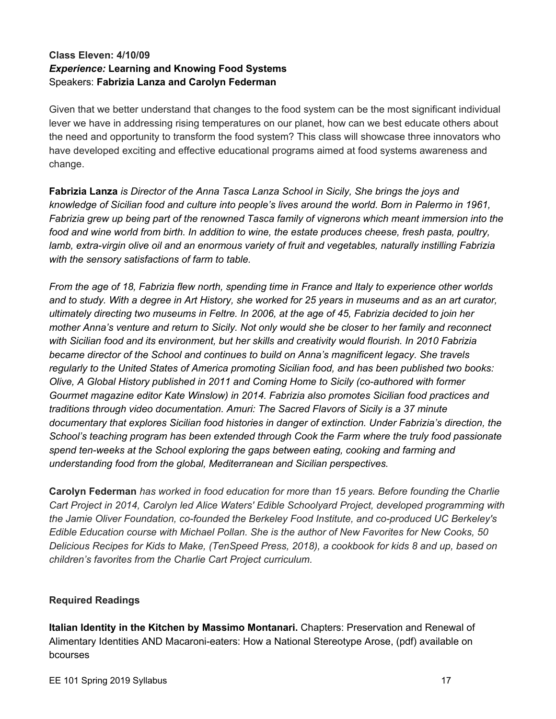## **Class Eleven: 4/10/09** *Experience:* **Learning and Knowing Food Systems** Speakers: **Fabrizia Lanza and Carolyn Federman**

Given that we better understand that changes to the food system can be the most significant individual lever we have in addressing rising temperatures on our planet, how can we best educate others about the need and opportunity to transform the food system? This class will showcase three innovators who have developed exciting and effective educational programs aimed at food systems awareness and change.

**Fabrizia Lanza** *is Director of the Anna Tasca Lanza School in Sicily, She brings the joys and knowledge of Sicilian food and culture into people's lives around the world. Born in Palermo in 1961, Fabrizia grew up being part of the renowned Tasca family of vignerons which meant immersion into the food and wine world from birth. In addition to wine, the estate produces cheese, fresh pasta, poultry, lamb, extra-virgin olive oil and an enormous variety of fruit and vegetables, naturally instilling Fabrizia with the sensory satisfactions of farm to table.*

From the age of 18, Fabrizia flew north, spending time in France and Italy to experience other worlds and to study. With a degree in Art History, she worked for 25 years in museums and as an art curator, ultimately directing two museums in Feltre. In 2006, at the age of 45, Fabrizia decided to join her mother Anna's venture and return to Sicily. Not only would she be closer to her family and reconnect *with Sicilian food and its environment, but her skills and creativity would flourish. In 2010 Fabrizia became director of the School and continues to build on Anna's magnificent legacy. She travels regularly to the United States of America promoting Sicilian food, and has been published two books: Olive, A Global History published in 2011 and Coming Home to Sicily (co-authored with former Gourmet magazine editor Kate Winslow) in 2014. Fabrizia also promotes Sicilian food practices and traditions through video documentation. Amuri: The Sacred Flavors of Sicily is a 37 minute documentary that explores Sicilian food histories in danger of extinction. Under Fabrizia's direction, the School's teaching program has been extended through Cook the Farm where the truly food passionate spend ten-weeks at the School exploring the gaps between eating, cooking and farming and understanding food from the global, Mediterranean and Sicilian perspectives.*

**Carolyn Federman** *has worked in food education for more than 15 years. Before founding the Charlie Cart Project in 2014, Carolyn led Alice Waters' Edible Schoolyard Project, developed programming with the Jamie Oliver Foundation, co-founded the Berkeley Food Institute, and co-produced UC Berkeley's Edible Education course with Michael Pollan. She is the author of New Favorites for New Cooks, 50 Delicious Recipes for Kids to Make, (TenSpeed Press, 2018), a cookbook for kids 8 and up, based on children's favorites from the Charlie Cart Project curriculum.*

#### **Required Readings**

**Italian Identity in the Kitchen by Massimo Montanari.** Chapters: Preservation and Renewal of Alimentary Identities AND Macaroni-eaters: How a National Stereotype Arose, (pdf) available on bcourses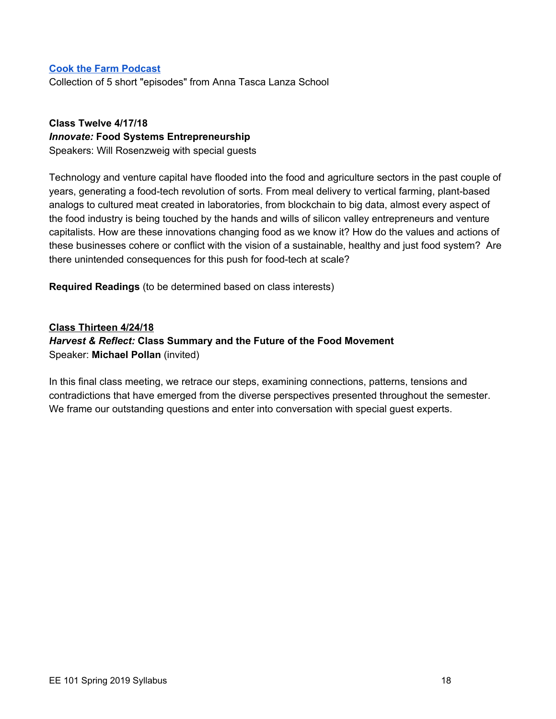#### **Cook the Farm [Podcast](https://www.annatascalanza.com/ctf-podcast/)**

Collection of 5 short "episodes" from Anna Tasca Lanza School

## **Class Twelve 4/17/18** *Innovate:* **Food Systems Entrepreneurship** Speakers: Will Rosenzweig with special guests

Technology and venture capital have flooded into the food and agriculture sectors in the past couple of years, generating a food-tech revolution of sorts. From meal delivery to vertical farming, plant-based analogs to cultured meat created in laboratories, from blockchain to big data, almost every aspect of the food industry is being touched by the hands and wills of silicon valley entrepreneurs and venture capitalists. How are these innovations changing food as we know it? How do the values and actions of these businesses cohere or conflict with the vision of a sustainable, healthy and just food system? Are there unintended consequences for this push for food-tech at scale?

**Required Readings** (to be determined based on class interests)

**Class Thirteen 4/24/18** *Harvest & Reflect:* **Class Summary and the Future of the Food Movement** Speaker: **Michael Pollan** (invited)

In this final class meeting, we retrace our steps, examining connections, patterns, tensions and contradictions that have emerged from the diverse perspectives presented throughout the semester. We frame our outstanding questions and enter into conversation with special guest experts.